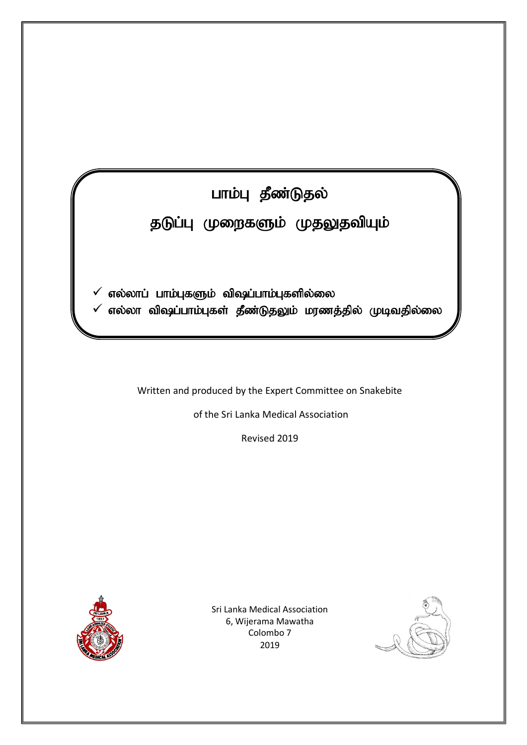# பாம்பு தீண்டுதல்

 $\overline{a}$ 

## தடுப்பு முறைகளும் முதலுதவியும்

 $\checkmark$  எல்லாப் பாம்புகளும் விஷப்பாம்புகளில்லை

 $\checkmark$  எல்லா விஷப்பாம்புகள் தீண்டுதலும் மரணத்தில் முடிவதில்லை

Written and produced by the Expert Committee on Snakebite

of the Sri Lanka Medical Association

Revised 2019



Sri Lanka Medical Association 6, Wijerama Mawatha Colombo 7 2019

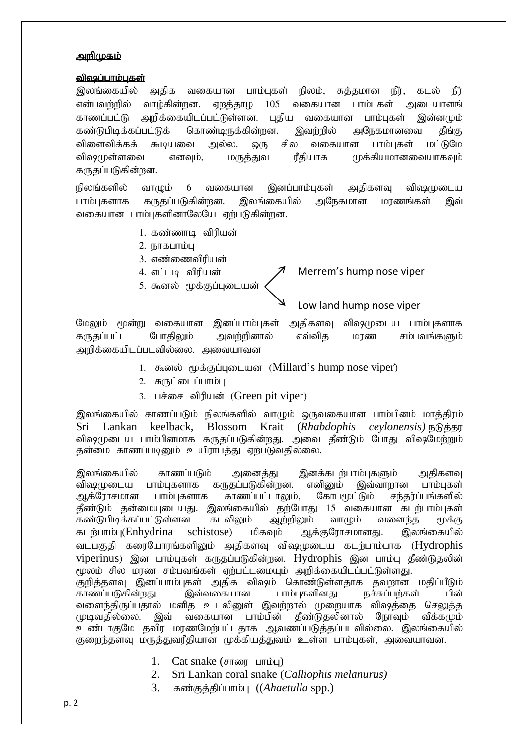#### <u>அறிமுகம்</u>

#### விஷப்பாம்பகள்

இலங்கையில் அதிக வகையான பாம்புகள் நிலம், சுத்தமான நீர், கடல் நீர் என்பவர்றில் வாம்கின்றன. எறக்காம 105 வகையான பாம்பகள் அடையாளங் காணப்பட்டு அறிக்கையிடப்பட்டுள்ளன. புதிய வகையான பாம்புகள் இன்னமும் கண்டுபிடிக்கப்பட்டுக் கொண்டிருக்கின்றன. இவற்றில் அநேகமானவை தீங்கு விளைவிக்கக் கூடியவை அல்ல. ஒரு சில வகையான பாம்புகள் மட்டுமே விஷமுள்ளவை எனவும், மருத்துவ ரீதியாக முக்கியமானவையாகவும் கருதப்படுகின்றன.

நிலங்களில் வாழும் 6 வகையான இனப்பாம்புகள் அதிகளவு விஷமுடைய பாம்புகளாக கருதப்படுகின்றன. இலங்கையில் அநேகமான மரணங்கள் இவ் வகையான பாம்புகளினாலேயே ஏற்படுகின்றன.

- 1. கண்ணாடி விரியன்
- 2. நாகபாம்பு
- 3. எண்ணைவிரியன்
- 4. எட்டடி விரியன்
- 5. கூனல் மூக்குப்புடையன்

## Merrem's hump nose viper

### Low land hump nose viper

மேலும் மூன்று வகையான இனப்பாம்புகள் அதிகளவு விஷமுடைய பாம்புகளாக கருதப்பட்ட போதிலும் அவற்றினால் எவ்வித மாண சம்பவங்களும் அறிக்கையிடப்படவில்லை. அவையாவன

- 1. கூனல் மூக்குப்புடையன (Millard's hump nose viper)
- 2. சுருட்டைப்பாம்பு
- 3. பச்சை விரியன் (Green pit viper)

இலங்கையில் காணப்படும் நிலங்களில் வாமும் ஒருவகையான பாம்பினம் மாக்கிரம் Sri Lankan keelback, Blossom Krait (*Rhabdophis ceylonensis*)  $\mathbb{R}$  $\mathbb{R}$ விஷமுடைய பாம்பினமாக கருதப்படுகின்றது. அவை தீண்டும் போது விஷமேற்றும் தன்மை காணப்படினும் உயிராபத்து ஏற்படுவதில்லை.

இலங்கையில் காணப்படும் அனைக்கு இனக்கடற்பாம்புகளும் அகிகளவு விஷமுடைய பாம்புகளாக கருதப்படுகின்றன. எனினும் இவ்வாறான பாம்புகள்<br>ஆக்ரோசமான பாம்புகளாக காணப்பட்டாலும். கோபமூட்டும் சந்தர்ப்பங்களில் பாம்புகளாக காணப்பட்டாலும், கோபமூட்டும் சந்தர்ப்பங்களில் தீண்டும் தன்மையுடையது. இலங்கையில் தற்போது 15 வகையான கடற்பாம்புகள்<br>கண்டுபிடிக்கப்பட்டுள்ளன. கடலிலும் ஆற்றிலும் வாழும் வளைந்த மூக்கு கண்டுபிடிக்கப்பட்டுள்ளன. கடலிலும் ஆற்றிலும் வாழும் வளைந்த மூக்கு கடற்பாம்பு(Enhydrina schistose) மிகவும் ஆக்குரோசமானது. இலங்கையில் வடபகுதி கரையோரங்களிலும் அதிகளவு விஷமுடைய கடற்பாம்பாக (Hydrophis viperinus) இன பாம்பகள் கருகப்படுகின்றன. Hydrophis இன பாம்ப கீண்டுகலின் மூலம் சில மரண சம்பவங்கள் ஏற்பட்டமையும் அறிக்கையிடப்பட்டுள்ளது. குறித்தளவு இனப்பாம்புகள் அதிக விஷம் கொண்டுள்ளதாக தவறான மதிப்பீடும் காணப்படுகின்றது. இவ்வகையான பாம்புகளினது நச்சுப்பற்கள் பின் வளைந்திருப்பதால் மனித உடலினுள் இவற்றால் முறையாக விஷத்தை செலுத்த<br>முடிவதில்லை. இவ் வகையான பாம்பின் தீண்டுதலினால் நோவும் வீக்கமும் கீண்டுகலினால் உண்டாகுமே தவிர மாணமேற்பட்டதாக ஆவணப்படுக்கப்படவில்லை. இலங்கையில் குறைந்தளவு மருத்துவரீதியான முக்கியத்துவம் உள்ள பாம்புகள், அவையாவன.

- 1. Cat snake  $(\text{strong} \text{ uniou})$
- 2. Sri Lankan coral snake (*Calliophis melanurus)*
- 3. கண்குத்திப்பாம்பு (*(Ahaetulla* spp.)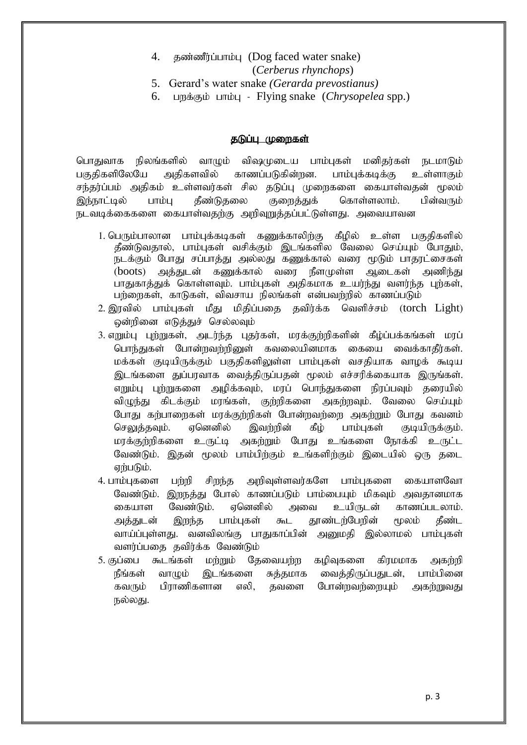- 4.  $\sigma$ கண்ணீர்ப்பாம்ப (Dog faced water snake) (*Cerberus rhynchops*)
- 5. Gerard's water snake *(Gerarda prevostianus)*
- 6. Ling ight in Flying snake (*Chrysopelea* spp.)

#### தடுப்பு முறைகள்

பொதுவாக நிலங்களில் வாழும் விஷமுடைய பாம்புகள் மனிகர்கள் நடமாடும் பகுதிகளிலேயே அதிகளவில் காணப்படுகின்றன. பாம்பக்கடிக்கு உள்ளாகும் சந்தர்ப்பம் அதிகம் உள்ளவர்கள் சில தடுப்பு முறைகளை கையாள்வதன் மூலம் இந்நாட்டில் பாம்பு தீண்டுதலை குறைத்துக் கொள்ளலாம். பின்வரும் நடவடிக்கைகளை கையாள்வதற்கு அறிவுறுத்தப்பட்டுள்ளது. அவையாவன

- 1. பெரும்பாலான பாம்புக்கடிகள் கணுக்காலிற்கு கீழில் உள்ள பகுதிகளில்  $\tilde{g}$ ண்டுவதால், பாம்புகள் வசிக்கும் இடங்களில வேலை செய்யும் போதும், நடக்கும் போது சப்பாத்து அல்லது கணுக்கால் வரை மூடும் பாதரட்சைகள் (boots) அத்துடன் கணுக்கால் வரை நீளமுள்ள ஆடைகள் அணிந்து பாதுகாத்துக் கொள்ளவும். பாம்புகள் அதிகமாக உயர்ந்து வளர்ந்த புற்கள், பற்றைகள், காடுகள், விவசாய நிலங்கள் என்பவற்றில் காணப்படும்
- $2.$  இரவில் பாம்புகள் மீது மிதிப்பதை தவிர்க்க வெளிச்சம் (torch  $Light$ ) ஒன்றினை எடுத்துச் செல்லவும்
- 3. எறும்பு புற்றுகள், அடர்ந்த புதர்கள், மரக்குற்றிகளின் கீழ்ப்பக்கங்கள் மரப் பொந்துகள் போன்றவற்றினுள் கவலையினமாக கையை வைக்காகீர்கள். மக்கள் குடியிருக்கும் பகுதிகளிலுள்ள பாம்புகள் வசதியாக வாழக் கூடிய இடங்களை துப்பாவாக வைத்திருப்பதன் மூலம் எச்சரிக்கையாக இருங்கள். எறும்பு புற்றுகளை அழிக்கவும், மரப் பொந்துகளை நிரப்பவும் தரையில் விழுந்து கிடக்கும் மரங்கள், குற்றிகளை அகற்றவும். வேலை செய்யும் போது கற்பாறைகள் மரக்குற்றிகள் போன்றவற்றை அகற்றும் போது கவனம் செலுத்தவும். ஏனெனில் இவற்றின் கீழ் பாம்புகள் குடியிருக்கும். மரக்குற்றிகளை உருட்டி அகற்றும் போது உங்களை நோக்கி உருட்ட வேண்டும். இதன் மூலம் பாம்பிற்கும் உங்களிற்கும் இடையில் ஒரு தடை ஏற்படும்.
- 4. பாம்புகளை பற்றி சிறந்த அறிவுள்ளவர்களே பாம்புகளை கையாளவோ வேண்டும். இறநத்து போல் காணப்படும் பாம்பையும் மிகவும் அவதானமாக கையாள வேண்டும். ஏனெனில் அவை உயிருடன் காணப்படலாம். அக்குடன் இருந்த பாம்பகள் கூட காண்டர்பேரின் மூலம் கீண்ட வாய்ப்புள்ளது. வனவிலங்கு பாதுகாப்பின் அனுமதி இல்லாமல் பாம்புகள் வளர்ப்பதை தவிர்க்க வேண்டும்
- 5. குப்பை கூடங்கள் மற்றும் தேவையற்ற கமிவுகளை கிரமமாக அகற்றி நீங்கள் வாழும் இடங்களை சுத்தமாக வைத்திருப்பதுடன், பாம்பினை கவரும் பிராணிகளான எலி, தவளை போன்றவற்றையும் அகற்றுவது நல்லது.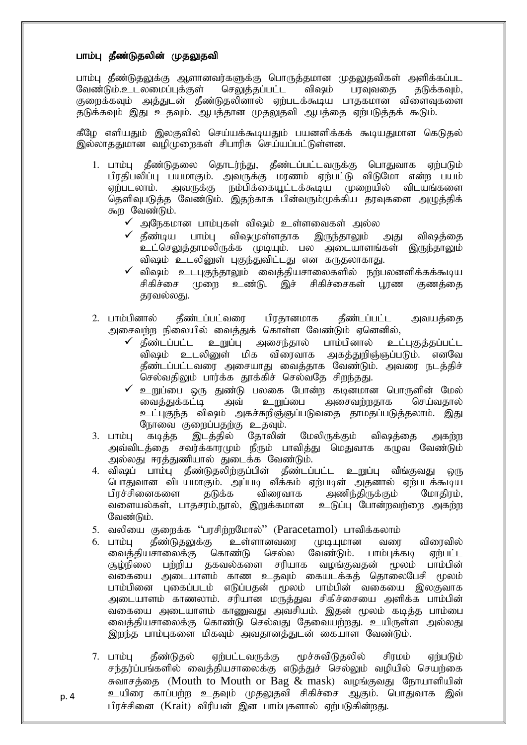#### பாம்பு தீண்டுதலின் முதலுதவி

p. 4

பாம்பு தீண்டுதலுக்கு ஆளானவர்களுக்கு பொருத்தமான முதலுதவிகள் அளிக்கப்பட வேண்டும்.உடலமைப்புக்குள் செலுத்தப்பட்ட விஷம் பரவுவதை தடுக்கவும், குறைக்கவும் அத்துடன் தீண்டுதலினால் ஏற்படக்கூடிய பாதகமான விளைவுகளை தடுக்கவும் இது உதவும். ஆபத்தான முதலுதவி ஆபத்தை ஏற்படுத்தக் கூடும்.

கீமே எளியகும் இலகவில் செய்யக்கூடியகும் பயனளிக்கக் கூடியதுமான கெடுகல் இல்லாததுமான வழிமுறைகள் சிபாரிசு செய்யப்பட்டுள்ளன.

- 1. பாம்பு தீண்டுதலை தொடர்ந்து, தீண்டப்பட்டவருக்கு பொதுவாக ஏற்படும் பிரதிபலிப்பு பயமாகும். அவருக்கு மரணம் ஏற்பட்டு விடுமோ என்ற பயம் ஏற்படலாம். அவருக்கு நம்பிக்கையூட்டக்கூடிய முறையில் விடயங்களை  $\sim$ தெளிவுபடுத்த $\sim$ வேண்டும். இதற்காக பின்வரும் $\mu$ க்கிய தரவுகளை அழுத்திக்  $\overline{\mathcal{F}}_n$ ந வேண்டும்.
	- $\checkmark$  அநேகமான பாம்புகள் விஷம் உள்ளவைகள் அல்ல
	- $\checkmark$  தீண்டிய பாம்பு விஷமுள்ளதாக இருந்தாலும் அது விஷத்தை .<br>உட்செலுக்காமலிருக்க முடியும். பல அடையாளங்கள் இருந்தாலும் விஷம் உடலினுள் புகுந்துவிட்டது என கருதலாகாது.
	- $\checkmark$  விஷம் உடபுகுந்தாலும் வைத்தியசாலைகளில் நற்பலனளிக்கக்கூடிய சிகிச்சை முறை உண்டு. இச் சிகிச்சைகள் பூரண குணத்தை காவல்லகு.
- 2. பாம்பினால் தீண்டப்பட்வரை பிரதானமாக தீண்டப்பட்ட அவயத்தை அசைவும்மு நிலையில் வைக்குக் கொள்ள வேண்டும் எனெனில்.
	- $\checkmark$  தீண்டப்பட்ட உறுப்பு அசைந்தால் பாம்பினால் உட்புகுத்தப்பட்ட .<br>விஷம் உடலினுள் மிக விரைவாக அகக்குரிஞ்ஞப்படும். எனவே தீண்டப்பட்டவரை அசையாது வைத்தாக வேண்டும். அவரை நடத்திச் செல்வதிலும் பார்க்க தூக்கிச் செல்வதே சிறந்தது.
	- $\checkmark$  உறுப்பை ஒரு துண்டு பலகை போன்ற கடினமான பொருளின் மேல்<br>மைத்துக்கட்டி அவ் உறுப்பை அசைவர்றதாக செய்வதால் அசைவற்றதாக உட்பகுந்த விஷம் அகச்சுறிஞ்ஞப்படுவதை தாமதப்படுத்தலாம். இது நோவை குறைப்பதற்கு உதவும்.
- 3. பாம்பு கடித்த இடத்தில் தோலின் மேலிருக்கும் விஷத்தை அகற்ற அவ்விடத்தை சவர்க்காரமும் நீரும் பாவித்து மெதுவாக கழுவ வேண்டும் அல்லது ஈரத்துணியால் துடைக்க வேண்டும்.
- 4. விஷப் பாம்பு தீண்டுதலிற்குப்பின் தீண்டப்பட்ட உறுப்பு வீங்குவது ஒரு பொதுவான விடயமாகும். அப்படி வீக்கம் ஏற்படின் அதனால் ஏற்படக்கூடிய பிரச்சினைகளை தடுக்க விரைவாக அணிந்திருக்கும் மோதிரம்,<br>வளையல்கள், பாதசரம்,நூல், இறுக்கமான உடுப்பு போன்றவற்றை அகற்ற வளையல்கள், பாதசரம்,நூல், இறுக்கமான வேண்டும்.
- 5. வலியை குறைக்க ''பரசிற்றமோல்'' (Paracetamol) பாவிக்கலாம்<br>6. பாம்பு கீண்டுகலுக்கு உள்ளானவரை :முடியமான வரை
- 6. பாம்பு தீண்டுதலுக்கு உள்ளானவரை முடியுமான வரை விரைவில்<br>வைக்கியசாலைக்கு கொண்டு செல்ல வேண்டும். பாம்புக்கடி எற்பட்ட வைத்தியசாலைக்கு கொண்டு குழ்நிலை பற்றிய தகவல்களை சரியாக வழங்குவதன் மூலம் பாம்பின் வகையை அடையாளம் காண உதவும் கையடக்கத் தொலைபேசி மூலம் பாம்பினை புகைப்படம் எடுப்பதன் மூலம் பாம்பின் வகையை இலகுவாக அடையாளம் காணலாம். சரியான மருத்துவ சிகிச்சையை அளிக்க பாம்பின் வகையை அடையாளம் காணுவது அவசியம். இதன் மூலம் கடிக்க பாம்பை வைத்தியசாலைக்கு கொண்டு செல்வது தேவையற்றது. உயிருள்ள அல்லது இறந்த பாம்புகளை மிகவும் அவதானத்துடன் கையாள வேண்டும்.
- 7. பாம்பு தீண்டுதல் ஏற்பட்டவருக்கு மூச்சுவிடுதலில் சிரமம் ஏற்படும் சந்தர்ப்பங்களில் வைத்தியசாலைக்கு எடுத்துச் செல்லும் வழியில் செயற்கை சுவாசத்தை (Mouth to Mouth or Bag  $\&$  mask) வழங்குவது நோயாளியின் உயிரை காப்பற்ற உதவும் முதலுதவி சிகிச்சை ஆகும். பொதுவாக இவ் பிரச்சினை (Krait) விரியன் இன பாம்புகளால் ஏற்படுகின்றது.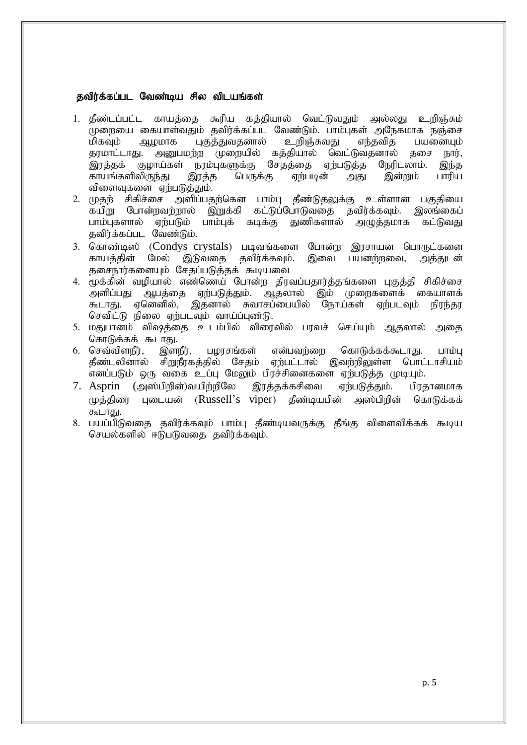#### தவிர்க்கப்பட வேண்டிய சில விடயங்கள்

- 1. தீண்டப்பட்ட காயத்தை கூரிய கத்தியால் வெட்டுவதும் அல்லது உறிஞ்சும் ்முறையை கையாள்வதும் தவிர்க்கப்பட வேண்டும். பாம்புகள் அநேகமாக நஞ்சை<br>மிகவும் ஆமமாக பகுக்குவகனால் உறிஞ்சுவது எந்தவித பயனையும் மிகவும் ஆழமாக புகுத்துவதனால் உறிஞ்சுவது எந்தவித பயனையும்<br>தரமாட்டாது. அனுபமற்ற முறையில் கத்தியால் வெட்டுவதனால் தசை நார். ்அனுபமற்ற முறையில் கத்தியால் வெட்டுவதனால் தசை .<br>இரத்தக் குழாய்கள் நரம்புகளுக்கு சேதத்தை ஏற்படுத்த நேரிடலாம். இந்த<br>காயங்களிலிருந்து இரத்த பெருக்கு ஏற்படின் அது இன்றும் பாரிய காயங்களிலிருந்து இரத்த பெருக்கு ஏற்படின் அது இன்றும் பாரிய விளைவுகளை ஏற்படுத்தும்.
- 2. முதற் சிகிச்சை அளிப்பதற்கென பாம்பு தீண்டுதலுக்கு உள்ளான பகுதியை ்கயிறு போன்றவற்றால் இறுக்கி கட்டுப்போடுவதை தவிர்க்கவும். இலங்கைப்<br>பாம்புகளால் ஏற்படும் பாம்புக் கடிக்கு துணிகளால் அழுத்தமாக கட்டுவது பாம்புகளால் ஏற்படும் பாம்புக் கடிக்கு துணிகளால் அழுத்தமாக கவிர்க்கப்பட வேண்டும்.
- 3. கொண்டிஸ் (Condys crystals) படிவங்களை போன்ற இரசாயன பொருட்களை<br>காயத்தின் மேல் இடுவதை தவிர்க்கவும். இவை பயனர்ரவை, அக்குடன் இவை பயனர்நவை, அக்குடன் தசைநார்களையும் சேதப்படுத்தக் கூடியவை
- 4. முக்கின் வழியால் எண்ணெய் போன்ற திரவப்பதார்த்தங்களை புகுத்தி சிகிச்சை அளிப்பது ஆபத்தை ஏற்படுத்தும். ஆதலால் இம் முறைகளைக் கையாளக்<br>கூடாது. ஏனெனில், இதனால் சுவாசப்பையில் நோய்கள் ஏற்படவும் நிரந்தர ஏனெனில், இதனால் சுவாசப்பையில் நோய்கள் ஏற்படவும் நிரந்தர செவிட்டு நிலை எற்படவம் வாய்ப்பண்டு.
- 5. மதுபானம் விஷத்தை உடம்பில் விரைவில் பரவச் செய்யும் ஆதலால் அதை கொடுக்கக் கூடாது.<br>6. செவ்விளநீர், இளநீர்,
- பமாசங்கள் என்பவற்றை கொடுக்கக்கூடாது. பாம்பு தீண்டலினால் சிறுநீரகத்தில் சேதம் ஏற்பட்டால் இவற்றிலுள்ள பொட்டாசியம் .<br>எனப்படும் ஒரு வகை உப்பு மேலும் பிரச்சினைகளை ஏற்படுத்த முடியும்.
- 7. Asprin (அஸ்பிறின்)வயிற்றிலே இரத்தக்கசிவை ஏற்படுத்தும். பிரதானமாக  $(\mu$ த்திரை புடையன் (Russell's viper) தீண்டியபின் அஸ்பிறின் கொடுக்கக் கூடாது.
- 8. பயப்பிடுவதை தவிர்க்கவும் பாம்பு தீண்டியவருக்கு தீங்கு விளைவிக்கக் கூடிய செயல்களில் ஈடுபடுவதை தவிர்க்கவும்.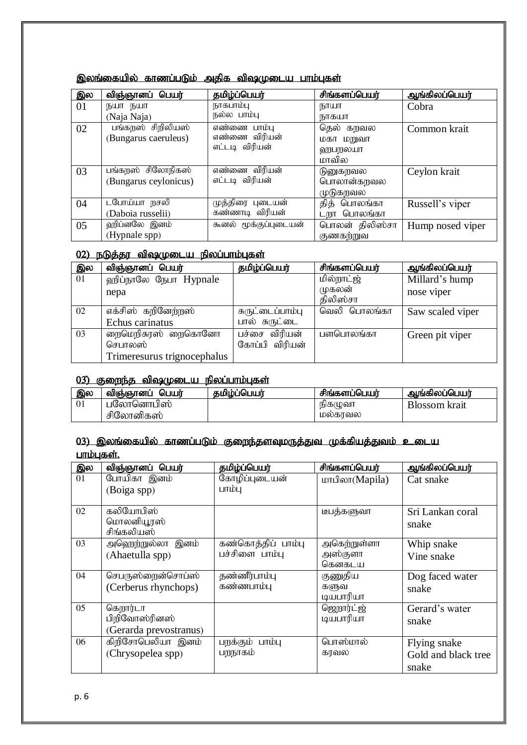| இல | விஞ்ஞானப் பெயர்       | தமிழ்ப்பெயர்          | சிங்களப்பெயர்  | ஆங்கிலப்பெயர்    |
|----|-----------------------|-----------------------|----------------|------------------|
| 01 | நயா நயா               | நாகபாம்பு             | நாயா           | Cobra            |
|    | (Naja Naja)           | நல்ல பாம்பு           | நாகயா          |                  |
| 02 | பங்கறஸ் சிறிலியஸ்     | எண்ணை பாம்பு          | தெல் கறவல      | Common krait     |
|    | (Bungarus caeruleus)  | எண்ணை விரியன்         | மகா மறுவா      |                  |
|    |                       | எட்டடி விரியன்        | ஹபறலயா         |                  |
|    |                       |                       | மாவில          |                  |
| 03 | பங்கறஸ் சிலோநிகஸ்     | எண்ணை விரியன்         | டுனுகறவல       | Ceylon krait     |
|    | (Bungarus ceylonicus) | எட்டடி விரியன்        | பொலான்கறவல     |                  |
|    |                       |                       | முடுகறவல       |                  |
| 04 | டபோய்யா நசலி          | முத்திரை புடையன்      | தித் பொலங்கா   | Russell's viper  |
|    | (Daboia russelii)     | கண்ணாடி விரியன்       | டறா பொலங்கா    |                  |
| 05 | ஹிப்னலே இனம்          | கூனல் மூக்குப்புடையன் | பொலன் திலிஸ்சா | Hump nosed viper |
|    | (Hypnale spp)         |                       | குணகற்றுவ      |                  |

## இலங்கையில் காணப்படும் அதிக விஷமுடைய பாம்புகள்

## 02) நடுத்தர விஷமுடைய நிலப்பாம்புகள்

| இல | விஞ்ஞானப் பெயர்             | தமிழ்ப்பெயர்     | சிங்களப்பெயர்      | ஆங்கிலப்பெயர்    |
|----|-----------------------------|------------------|--------------------|------------------|
| 01 | ஹிப்நாலே நேபா Hypnale       |                  | மில்றாட்ஜ்         | Millard's hump   |
|    | nepa                        |                  | முகலன்<br>கிலிஸ்சா | nose viper       |
| 02 | எக்சிஸ் கறினேற்றஸ்          | சுருட்டைப்பாம்பு | வெலி பொலங்கா       | Saw scaled viper |
|    | Echus carinatus             | பால் சுருட்டை    |                    |                  |
| 03 | றைமெறிசுரஸ் றைகொனோ          | பச்சை விரியன்    | பளபொலங்கா          | Green pit viper  |
|    | செபாலஸ்                     | கோப்பி விரியன்   |                    |                  |
|    | Trimeresurus trignocephalus |                  |                    |                  |

## $(03)$  குறைந்த விஷமுடைய நிலப்பாம்புகள்

| இல | பெயர்<br>விஞ்ஞானப் | கமிம்ப்பெயர் | சிங்களப்பெயர் | ஆங்கிலப்பெயர் |
|----|--------------------|--------------|---------------|---------------|
|    | ⊔லோனொபிஸ்          |              | நிகமுவா       | Blossom krait |
|    | சிலோனிகஸ்          |              | மலகாவல        |               |

#### <u>03) இலங்கையில் காணப்படும் குறைந்தளவுமருத்துவ முக்கியத்துவம் உடைய</u> பாம்பகள்.

| இல | விஞ்ஞானப் பெயர்        | தமிழ்ப்பெயர்       | சிங்களப்பெயர்                                                                  | ஆங்கிலப்பெயர்       |
|----|------------------------|--------------------|--------------------------------------------------------------------------------|---------------------|
| 01 | போயிகா இனம்            | கோழிப்புடையன்      | $L$ <sub>0</sub> $L$ <sup>3</sup> $\sigma$ $M$ $L$ $D$ $L$ $D$ $L$ $D$ $L$ $D$ | Cat snake           |
|    | (Boiga spp)            | பாம்பு             |                                                                                |                     |
| 02 | கலியோபிஸ்              |                    | டீபத்களுவா                                                                     | Sri Lankan coral    |
|    | மொலனியூரஸ்             |                    |                                                                                | snake               |
|    | சிங்கலியஸ்             |                    |                                                                                |                     |
| 03 | அஹெந்றுல்லா இனம்       | கண்கொத்திப் பாம்பு | அகெற்றுள்ளா                                                                    | Whip snake          |
|    | (Ahaetulla spp)        | பச்சிளை பாம்பு     | அஸ்குளா                                                                        | Vine snake          |
|    |                        |                    | கெனகடய                                                                         |                     |
| 04 | செபருஸ்றைன்சொப்ஸ்      | தண்ணீர்பாம்பு      | குணுதிய                                                                        | Dog faced water     |
|    | (Cerberus rhynchops)   | கண்ணபாம்பு         | களுவ                                                                           | snake               |
|    |                        |                    | டியபாரியா                                                                      |                     |
| 05 | கெறார்டா               |                    | ஜெநார்ட்ஜ்                                                                     | Gerard's water      |
|    | பிறிவோஸ்ரினஸ்          |                    | டியபாரியா                                                                      | snake               |
|    | (Gerarda prevostranus) |                    |                                                                                |                     |
| 06 | கிறிசோபெலியா இனம்      | பறக்கும் பாம்பு    | பொஸ்மால்                                                                       | Flying snake        |
|    | (Chrysopelea spp)      | பறநாகம்            | கரவல                                                                           | Gold and black tree |
|    |                        |                    |                                                                                | snake               |